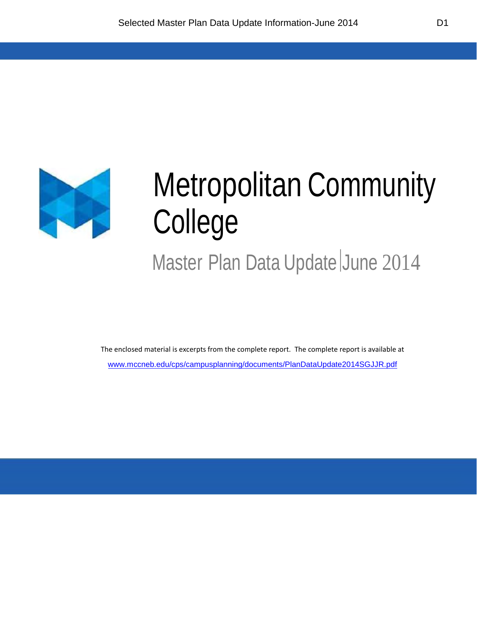

## Metropolitan Community College

Master Plan Data Update June 2014

The enclosed material is excerpts from the complete report. The complete report is available at [www.mccneb.edu/cps/campusplanning/documents/PlanDataUpdate2014SGJJR.pdf](http://www.mccneb.edu/cps/campusplanning/documents/PlanDataUpdate2014SGJJR.pdf)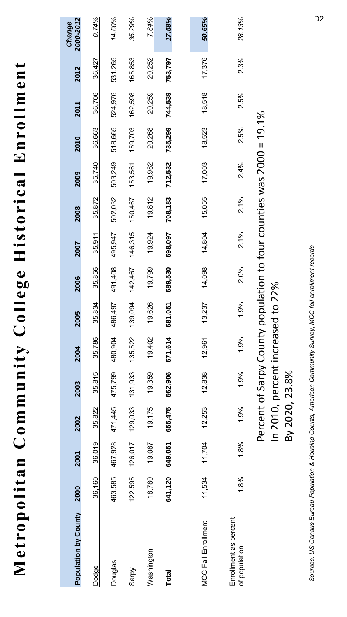Metropolitan Community College Historical Enrollment **Metropolitan Community College Historical Enrollment**

| Population by County                   | 2000    | 2001    | 2002           | 2003                              | 2004    | 2005    | 2006    | 2007    | 2008                                       | 2009    | 2010    | 2011    | 2012    | 2000-2012<br>Change |
|----------------------------------------|---------|---------|----------------|-----------------------------------|---------|---------|---------|---------|--------------------------------------------|---------|---------|---------|---------|---------------------|
| Dodge                                  | 36,160  | 36,019  | 35,822         | 35,815                            | 35,786  | 35,834  | 35,856  | 35,911  | 35,872                                     | 35,740  | 36,663  | 36,706  | 36,427  | 0.74%               |
| <b>Douglas</b>                         | 463,585 | 467,928 | 471,445        | 475,799                           | 480,904 | 486,497 | 491,408 | 495,947 | 502,032                                    | 503,249 | 518,665 | 524,976 | 531,265 | 14.60%              |
| Sarpy                                  | 122,595 | 126,017 | 129,033        | 131,933                           | 135,522 | 139,094 | 142.467 | 146.315 | 150,467                                    | 153,561 | 159,703 | 162,598 | 165,853 | 35.29%              |
| Washington                             | 18,780  | 19,087  | 19,175         | 19,359                            | 19,402  | 19,626  | 19,799  | 19,924  | 19,812                                     | 19,982  | 20,268  | 20,259  | 20,252  | 7.84%               |
| Total                                  | 641,120 | 649,051 | 655,475        | 662,906                           | 671,614 | 681,051 | 689,530 | 698,097 | 708,183                                    | 712,532 | 735,299 | 744,539 | 753,797 | 17.58%              |
|                                        |         |         |                |                                   |         |         |         |         |                                            |         |         |         |         |                     |
| <b>MCC Fall Enrollment</b>             | 11,534  | 11.704  | 12,253         | 12,838                            | 12.961  | 13,237  | 14,098  | 14,804  | 15,055                                     | 17,003  | 18,523  | 18,518  | 17,376  | 50.65%              |
| Enrollment as percent<br>of population | 1.8%    | 1.8%    | 1.9%           | 1.9%                              | 1.9%    | 1.9%    | 2.0%    | 2.1%    | 2.1%                                       | 2.4%    | 2.5%    | 2.5%    | 2.3%    | 28.13%              |
|                                        |         |         |                | Percent of Sarpy County popul     |         |         |         |         | ation to four counties was $2000 = 19.1\%$ |         |         |         |         |                     |
|                                        |         |         |                | In 2010, percent increased to 22% |         |         |         |         |                                            |         |         |         |         |                     |
|                                        |         |         | By 2020, 23.8% |                                   |         |         |         |         |                                            |         |         |         |         |                     |

Sources: US Census Bureau Population & Housing Counts, American Community Survey; MCC fall enrollment records *Sources: US Census Bureau Population & Housing Counts, American Community Survey; MCC fall enrollment records*

D2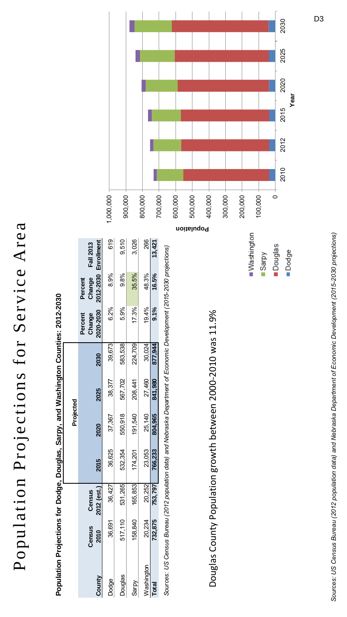## Population Projections for Service Area Population Projections for Service Area

|                                                                                                                |         |              |         | Projected |         |         |                   |                      |                  |         |
|----------------------------------------------------------------------------------------------------------------|---------|--------------|---------|-----------|---------|---------|-------------------|----------------------|------------------|---------|
|                                                                                                                | Census  | Census       |         |           |         |         | Change<br>Percent | Change<br>Percent    | <b>Fall 2013</b> |         |
| County                                                                                                         | 2010    | 2012 (est.)  | 2015    | 2020      | 2025    | 2030    | 2020-2030         | 2012-2030 Enrollment |                  |         |
| Dodge                                                                                                          | 36,691  | 427<br>36,4  | 36,625  | 37,367    | 38,377  | 39,673  | 6.2%              | 8.9%                 | 619              | 1,000,0 |
| Douglas                                                                                                        | 517,110 | 531,265      | 532,354 | 550,918   | 567,702 | 583,538 | 5.9%              | $9.8\%$              | 9.510            | 900,C   |
| Sarpy                                                                                                          | 158,840 | 853<br>165.8 | 174,201 | 191,540   | 208,441 | 224,709 | 17.3%             | 35.5%                | 3,026            |         |
| Washington                                                                                                     | 20,234  | 20,252       | 23,053  | 25,140    | 27,460  | 30,024  | 19.4%             | 48.3%                | 266              | 800,C   |
| Total                                                                                                          | 732,875 | 753,797      | 766,233 | 804,965   | 841,980 | 877,944 | 9.1%              | 16.5%                | 13,421           |         |
| (California Divorion Control Action of Action Decision December 24 and December 2010). Collection of Control o |         |              |         |           |         |         |                   |                      |                  | 700,    |

**Population Projections for Dodge, Douglas, Sarpy, and Washington Counties: 2012-2030**

*Sources: US Census Bureau (2012 population data) and Nebraska Department of Economic Development (2015-2030 projections)*

Sources: US Census Bureau (2012 population data) and Nebraska Department of Economic Development (2015-2030 projections)

Douglas County Population growth between 2000-2010 was 11.9% Douglas County Population growth between 2000-2010 was 11.9% Washington

**Douglas** 

Sarpy

Dodge



Sources: US Census Bureau (2012 population data) and Nebraska Department of Economic Development (2015-2030 projections) *Sources: US Census Bureau (2012 population data) and Nebraska Department of Economic Development (2015-2030 projections)*

D3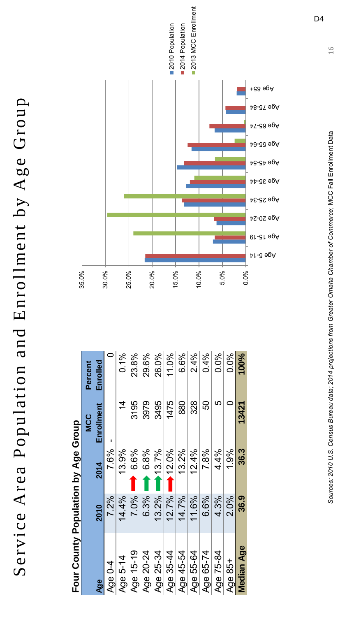Service Area Population and Enrollment by Age Group Service Area Population and Enrollment by Age Group

Four County Population by Ane Group **Four County Population by Age Group**

| dholり a5v( Ad lionpindo」Alino)InoL |       |          |                |          |
|------------------------------------|-------|----------|----------------|----------|
|                                    |       |          | <b>MCC</b>     | Percent  |
| Age                                | 2010  | 2014     | Enrollment     | Enrolled |
| Age 0-4                            | 7.2%  | 7.6%     |                |          |
| Age 5-14                           | 14.4% | 13.9%    | $\overline{4}$ | 0.1%     |
| Age 15-19                          | 7.0%  | $6.6\%$  | 3195           | 23.8%    |
| Age 20-24                          | 6.3%  | 6.8%     | 3979           | 29.6%    |
| Age 25-34                          | 13.2% | 13.7%    | 3495           | 26.0%    |
| Age 35-44                          | 12.7% | $12.0\%$ | 1475           | 11.0%    |
| Age 45-54                          | 14.7% | 13.2%    | 880            | 6.6%     |
| Age 55-64                          | 11.6% | 12.4%    | 328            | 2.4%     |
| Age 65-74                          | 6.6%  | 7.8%     | 50             | 0.4%     |
| Age 75-84                          | 4.3%  | 4.4%     | 5              | 0.0%     |
| Age 85+                            | 2.0%  | 1.9%     |                | 0.0%     |
| <b>Median Age</b>                  | 36.9  | 36.3     | 13421          | 100%     |
|                                    |       |          |                |          |



D4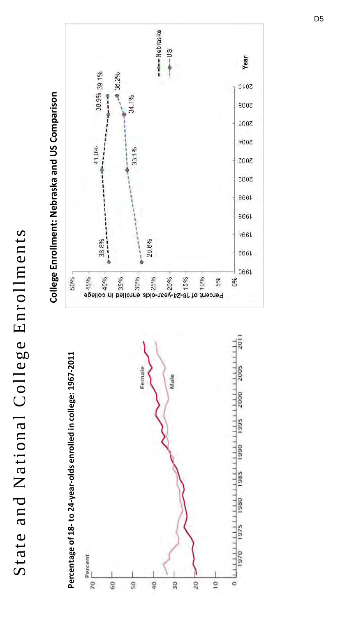State and National College Enrollments State and National College Enrollments



## College Enrollment: Nebraska and US Comparison **College Enrollment: Nebraska and US Comparison**

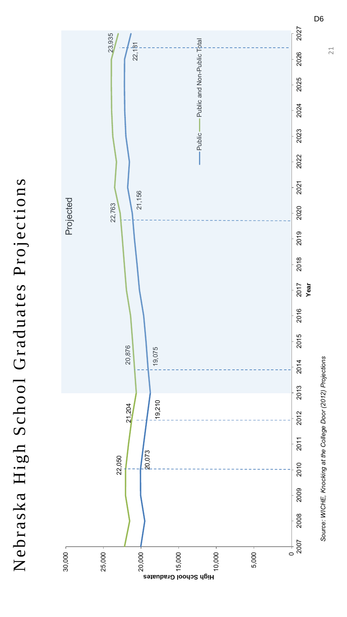Nebraska High School Graduates Projections Nebraska High School Graduates Projections



D6

21

*Source: WICHE, Knocking at the College Door (2012) Projections*

Source: WICHE, Knocking at the College Door (2012) Projections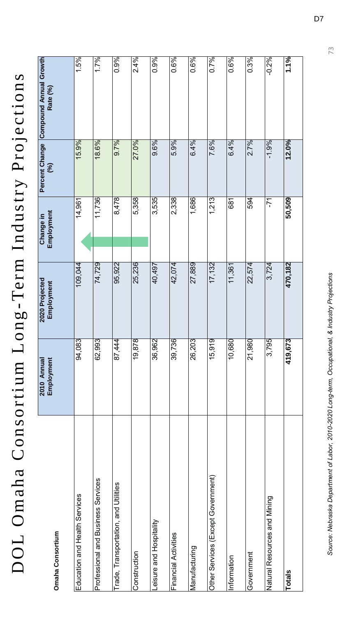DOL Omaha Consortium Long-Term Industry Projections DOL Omaha Consortium Long -Term Industry Projections

| Omaha Consortium                     | Employment<br>2010 Annual | 2020 Projected<br>Employment | Employment<br>Change in | $\mathcal{S}$ | Percent Change Compound Annual Growth<br>Rate (%) |
|--------------------------------------|---------------------------|------------------------------|-------------------------|---------------|---------------------------------------------------|
| Education and Health Services        | 94,083                    | 109,044                      | 14,961                  | 15.9%         | 1.5%                                              |
| Professional and Business Services   | 62,993                    | 74,729                       | 11,736                  | 18.6%         | 1.7%                                              |
| Trade, Transportation, and Utilities | 87,444                    | 95,922                       | 8,478                   | 9.7%          | 0.9%                                              |
| Construction                         | 19,878                    | 25,236                       | 5,358                   | 27.0%         | 2.4%                                              |
| Leisure and Hospitality              | 36,962                    | 40,497                       | 3,535                   | 9.6%          | 0.9%                                              |
| Financial Activities                 | 39,736                    | 42,074                       | 2,338                   | 5.9%          | 0.6%                                              |
| Manufacturing                        | 26,203                    | 27,889                       | 1,686                   | 6.4%          | 0.6%                                              |
| Other Services (Except Government)   | 15,919                    | 17,132                       | 1,213                   | 7.6%          | 0.7%                                              |
| Information                          | 10,680                    | 11,361                       | 681                     | 6.4%          | 0.6%                                              |
| Government                           | 21,980                    | 22,574                       | 594                     | 2.7%          | 0.3%                                              |
| Natural Resources and Mining         | 3,795                     | 3,724                        | -71                     | $-1.9%$       | $-0.2%$                                           |
| Totals                               | 419,673                   | 470,182                      | 50,509                  | 12.0%         | 1.1%                                              |

73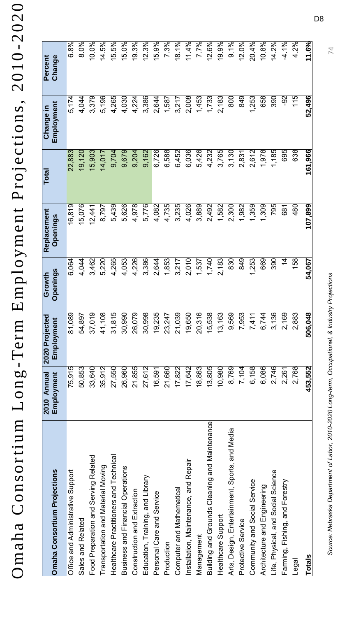Omaha Consortium Long-Term Employment Projections, 2010-2020 Omaha Consortium Long -Term Employment Projections, 2010 -2020

| <b>Omaha Consortium Projections</b>            | 2010 Annual<br>Employment | 2020 Projected<br>Employment     | <b>Openings</b><br>Growth | Replacement<br><b>Openings</b> | Total   | Employment<br>Change in | Change<br>Percent |
|------------------------------------------------|---------------------------|----------------------------------|---------------------------|--------------------------------|---------|-------------------------|-------------------|
| Office and Administrative Support              | 75,915                    | 89<br>$\frac{0}{8}$              | 6,064                     | 16,819                         | 22,883  | 5,174                   | 6.8%              |
| Sales and Related                              | 50,853                    | 54,897                           | 4,044                     | 15,076                         | 19,120  | 4,044                   | 8.0%              |
| Food Preparation and Serving Related           | 33,640                    | $\overline{19}$<br>37,0          | 3,462                     | 12,441                         | 15,903  | 3,379                   | 10.0%             |
| Transportation and Material Moving             | 35,912                    | 08<br>41,1                       | 5,220                     | 8,797                          | 14,017  | 5,196                   | 14.5%             |
| Healthcare Practitioners and Technical         | 27,550                    | $\frac{1}{10}$<br>31,8           | 4,265                     | 5,439                          | 9,704   | 4,265                   | 15.5%             |
| <b>Business and Financial Operations</b>       | 26,960                    | 90<br>30 <sub>,</sub> 0          | 4,053                     | 5,626                          | 9,679   | 4,030                   | 15.0%             |
| Construction and Extraction                    | 21,855                    | <b>179</b><br>26,0               | 4,226                     | 4,978                          | 9,204   | 4,224                   | 19.3%             |
| Education, Training, and Library               | 27,612                    | 98<br>30,9                       | 3,386                     | 5,776                          | 9,162   | 3,386                   | 12.3%             |
| Personal Care and Service                      | 16,591                    | 19,235                           | 2,644                     | 4,082                          | 6,726   | 2,644                   | 15.9%             |
| Production                                     | 21,660                    | 23,247                           | 1,853                     | 4,735                          | 6,588   | 1,587                   | 7.3%              |
| Computer and Mathematical                      | 17,822                    | 21,039                           | 3,217                     | 3,235                          | 6,452   | 3,217                   | 18.1%             |
| Installation, Maintenance, and Repair          | 17,642                    | 50<br>19,6                       | 2,010                     | 4,026                          | 6,036   | 2,008                   | 11.4%             |
| Management                                     | 18,863                    | $\overline{16}$<br>20,3          | 1,537                     | 3,889                          | 5,426   | 1,453                   | 7.7%              |
| Building and Grounds Cleaning and Maintenance  | 13,805                    | $\overline{38}$<br>15,5          | 1,740                     | 2,492                          | 4,232   | 1,733                   | 12.6%             |
| Healthcare Support                             | 10,980                    | 63<br>13,1                       | 2,183                     | 1,582                          | 3,765   | 2,183                   | 19.9%             |
| Arts, Design, Entertainment, Sports, and Media | 8,769                     | ତ୍ରେ<br>9,5                      | 830                       | 2,300                          | 3,130   | 800                     | 9.1%              |
| Protective Service                             | 7,104                     | 53<br>7,9                        | 849                       | 1,982                          | 2,831   | 849                     | 12.0%             |
| Community and Social Service                   | 6,158                     | $\tilde{\tau}$<br>7,4            | 1,253                     | 1,359                          | 2,612   | 1,253                   | 20.4%             |
| Architecture and Engineering                   | 6,086                     | 6,744                            | 669                       | 1,309                          | 1,978   | 658                     | 10.8%             |
| Life, Physical, and Social Science             | 2,746                     | 36 <br>3,1                       | $\overline{390}$          | 795                            | 1,185   | 39 <sub>0</sub>         | 14.2%             |
| Farming, Fishing, and Forestry                 | 2,261                     | 69<br>$\overline{2}$             | य                         | 681                            | 695     | ခု                      | $-4.1%$           |
| Legal                                          | 2,768                     | $\overline{83}$<br>$\frac{8}{2}$ | 158                       | 480                            | 638     | 115                     | 4.2%              |
| Totals                                         | 453,552                   | 506,048                          | 54.067                    | 107,899                        | 161,966 | 52,496                  | 11.6%             |

D8

74